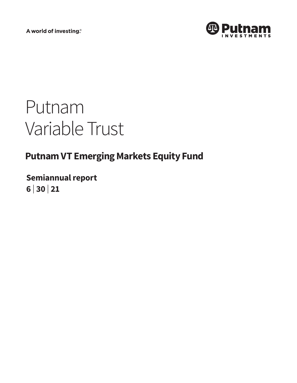A world of investing®



# Putnam Variable Trust

# **Putnam VT Emerging Markets Equity Fund**

**Semiannual report 6 <sup>|</sup> 30 <sup>|</sup> 21**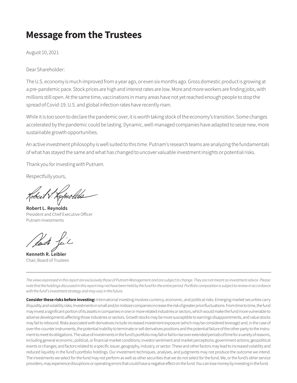# **Message from the Trustees**

August 10, 2021

Dear Shareholder:

The U.S. economy is much improved from a year ago, or even six months ago. Gross domestic product is growing at a pre-pandemic pace. Stock prices are high and interest rates are low. More and more workers are finding jobs, with millions still open. At the same time, vaccinations in many areas have not yet reached enough people to stop the spread of Covid-19. U.S. and global infection rates have recently risen.

While it is too soon to declare the pandemic over, it is worth taking stock of the economy's transition. Some changes accelerated by the pandemic could be lasting. Dynamic, well-managed companies have adapted to seize new, more sustainable growth opportunities.

An active investment philosophy is well suited to this time. Putnam's research teams are analyzing the fundamentals of what has stayed the same and what has changed to uncover valuable investment insights or potential risks.

Thank you for investing with Putnam.

Respectfully yours,

**Robert L. Reynolds** President and Chief Executive Officer Putnam Investments

**Kenneth R. Leibler** Chair, Board of Trustees

*The views expressed in this report are exclusively those of Putnam Management and are subject to change. They are not meant as investment advice. Please note that the holdings discussed in this report may not have been held by the fund for the entire period. Portfolio composition is subject to review in accordance with the fund's investment strategy and may vary in the future.*

**Consider these risks before investing:** International investing involves currency, economic, and political risks. Emerging-market securities carry illiquidity and volatility risks. Investments in small and/or midsize companies increase the risk of greater price fluctuations. From time to time, the fund may invest a significant portion of its assets in companies in one or more related industries or sectors, which would make the fund more vulnerable to adverse developments affecting those industries or sectors. Growth stocks may be more susceptible to earnings disappointments, and value stocks may fail to rebound. Risks associated with derivatives include increased investment exposure (which may be considered leverage) and, in the case of over-the-counter instruments, the potential inability to terminate or sell derivatives positions and the potential failure of the other party to the instrument to meet its obligations. The value of investments in the fund's portfolio may fall or fail to rise over extended periods of time for a variety of reasons, including general economic, political, or financial market conditions; investor sentiment and market perceptions; government actions; geopolitical events or changes; and factors related to a specific issuer, geography, industry, or sector. These and other factors may lead to increased volatility and reduced liquidity in the fund's portfolio holdings. Our investment techniques, analyses, and judgments may not produce the outcome we intend. The investments we select for the fund may not perform as well as other securities that we do not select for the fund. We, or the fund's other service providers, may experience disruptions or operating errors that could have a negative effect on the fund. You can lose money by investing in the fund.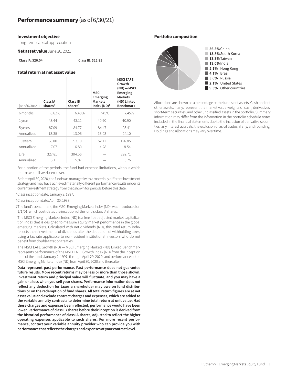#### **Investment objective**

Long-term capital appreciation

**Net asset value** June 30, 2021

**Class IA: \$26.04 Class IB: \$25.85**

### **Total return at net asset value**

| (as of 6/30/21) | Class IA<br>shares* | Class IB<br>shares <sup>t</sup> | <b>MSCI</b><br>Emerging<br><b>Markets</b><br>Index $(ND)^{\ddagger}$ | <b>MSCI EAFE</b><br>Growth<br>$(ND)$ - MSCI<br>Emerging<br>Markets<br>(ND) Linked<br><b>Benchmark</b> |
|-----------------|---------------------|---------------------------------|----------------------------------------------------------------------|-------------------------------------------------------------------------------------------------------|
| 6 months        | 6.62%               | 6.48%                           | 7.45%                                                                | 7.45%                                                                                                 |
| 1 year          | 43.44               | 43.11                           | 40.90                                                                | 40.90                                                                                                 |
| 5 years         | 87.09               | 84.77                           | 84.47                                                                | 93.41                                                                                                 |
| Annualized      | 13.35               | 13.06                           | 13.03                                                                | 14.10                                                                                                 |
| 10 years        | 98.00               | 93.10                           | 52.12                                                                | 126.85                                                                                                |
| Annualized      | 7.07                | 6.80                            | 4.28                                                                 | 8.54                                                                                                  |
| I ife           | 327.81              | 304.56                          |                                                                      | 292.71                                                                                                |
| Annualized      | 6.11                | 5.87                            |                                                                      | 5.76                                                                                                  |

For a portion of the periods, the fund had expense limitations, without which returns would have been lower.

Before April 30, 2020, the fund was managed with a materially different investment strategy and may have achieved materially different performance results under its current investment strategy from that shown for periods before this date.

\*Class inception date: January 2, 1997.

†Class inception date: April 30, 1998.

‡The fund's benchmark, the MSCI Emerging Markets Index (ND), was introduced on 1/1/01, which post-dates the inception of the fund's class IA shares.

The MSCI Emerging Markets Index (ND) is a free float-adjusted market capitalization index that is designed to measure equity market performance in the global emerging markets. Calculated with net dividends (ND), this total return index reflects the reinvestments of dividends after the deduction of withholding taxes, using a tax rate applicable to non-resident institutional investors who do not benefit from double taxation treaties.

The MSCI EAFE Growth (ND) — MSCI Emerging Markets (ND) Linked Benchmark represents performance of the MSCI EAFE Growth Index (ND) from the inception date of the fund, January 2, 1997, through April 29, 2020, and performance of the MSCI Emerging Markets Index (ND) from April 30, 2020 and thereafter.

**Data represent past performance. Past performance does not guarantee future results. More recent returns may be less or more than those shown. Investment return and principal value will fluctuate, and you may have a gain or a loss when you sell your shares. Performance information does not reflect any deduction for taxes a shareholder may owe on fund distributions or on the redemption of fund shares. All total return figures are at net asset value and exclude contract charges and expenses, which are added to the variable annuity contracts to determine total return at unit value. Had these charges and expenses been reflected, performance would have been lower. Performance of class IB shares before their inception is derived from the historical performance of class IA shares, adjusted to reflect the higher operating expenses applicable to such shares. For more recent performance, contact your variable annuity provider who can provide you with performance that reflects the charges and expenses at your contract level.**

#### **Portfolio composition**



Allocations are shown as a percentage of the fund's net assets. Cash and net other assets, if any, represent the market value weights of cash, derivatives, short-term securities, and other unclassified assets in the portfolio. Summary information may differ from the information in the portfolio schedule notes included in the financial statements due to the inclusion of derivative securities, any interest accruals, the exclusion of as-of trades, if any, and rounding. Holdings and allocations may vary over time.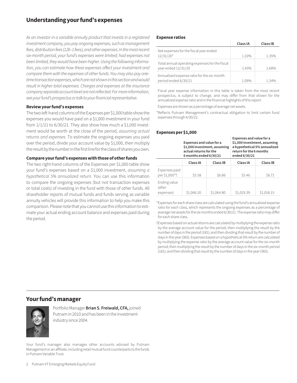# **Understanding your fund's expenses**

*As an investor in a variable annuity product that invests in a registered investment company, you pay ongoing expenses, such as management fees, distribution fees (12b-1 fees), and other expenses. In the most recent six-month period, your fund's expenses were limited; had expenses not been limited, they would have been higher. Using the following information, you can estimate how these expenses affect your investment and compare them with the expenses of other funds. You may also pay onetime transaction expenses, which are not shown in this section and would result in higher total expenses. Charges and expenses at the insurance company separate account level are not reflected. For more information, see your fund's prospectus or talk to your financial representative.*

#### **Review your fund's expenses**

The two left-hand columns of the Expenses per \$1,000 table show the expenses you would have paid on a \$1,000 investment in your fund from  $1/1/21$  to  $6/30/21$ . They also show how much a \$1,000 investment would be worth at the close of the period, *assuming actual returns and expenses.* To estimate the ongoing expenses you paid over the period, divide your account value by \$1,000, then multiply the result by the number in the first line for the class of shares you own.

#### **Compare your fund's expenses with those of other funds**

The two right-hand columns of the Expenses per \$1,000 table show your fund's expenses based on a \$1,000 investment, *assuming a hypothetical 5% annualized return.* You can use this information to compare the ongoing expenses (but not transaction expenses or total costs) of investing in the fund with those of other funds. All shareholder reports of mutual funds and funds serving as variable annuity vehicles will provide this information to help you make this comparison. Please note that you cannot use this information to estimate your actual ending account balance and expenses paid during the period.

#### **Expense ratios**

|                                                                       | Class IA | Class IB |
|-----------------------------------------------------------------------|----------|----------|
| Net expenses for the fiscal year ended<br>$12/31/20*$                 | 1.10%    | 1.35%    |
| Total annual operating expenses for the fiscal<br>year ended 12/31/20 | 1.43%    | 1.68%    |
| Annualized expense ratio for the six-month<br>period ended 6/30/21    | 1.09%    | 1 34%    |

Fiscal year expense information in this table is taken from the most recent prospectus, is subject to change, and may differ from that shown for the annualized expense ratio and in the financial highlights of this report.

Expenses are shown as a percentage of average net assets.

\*Reflects Putnam Management's contractual obligation to limit certain fund expenses through 4/30/22.

#### **Expenses per \$1,000**

|                                     | Expenses and value for a<br>\$1,000 investment, assuming<br>actual returns for the<br>6 months ended 6/30/21 |            | Expenses and value for a<br>\$1,000 investment, assuming<br>a hypothetical 5% annualized<br>return for the 6 months<br>ended 6/30/21 |            |  |  |
|-------------------------------------|--------------------------------------------------------------------------------------------------------------|------------|--------------------------------------------------------------------------------------------------------------------------------------|------------|--|--|
|                                     | Class IA                                                                                                     | Class IB   | Class IB                                                                                                                             |            |  |  |
| Expenses paid<br>per \$1,000*†      | \$5.58                                                                                                       | \$6.86     | \$5.46                                                                                                                               | \$6.71     |  |  |
| Ending value<br>(after<br>expenses) | \$1,066.20                                                                                                   | \$1,064.80 | \$1,019.39                                                                                                                           | \$1,018.15 |  |  |

\*Expenses for each share class are calculated using the fund's annualized expense ratio for each class, which represents the ongoing expenses as a percentage of average net assets for the six months ended 6/30/21. The expense ratio may differ for each share class.

†Expenses based on actual returns are calculated by multiplying the expense ratio by the average account value for the period; then multiplying the result by the number of days in the period (181); and then dividing that result by the number of days in the year (365). Expenses based on a hypothetical 5% return are calculated by multiplying the expense ratio by the average account value for the six-month period; then multiplying the result by the number of days in the six-month period (181); and then dividing that result by the number of days in the year (365).

## **Your fund's manager**



Portfolio Manager **Brian S. Freiwald, CFA,** joined Putnam in 2010 and has been in the investment industry since 2004.

Your fund's manager also manages other accounts advised by Putnam Management or an affiliate, including retail mutual fund counterparts to the funds in Putnam Variable Trust.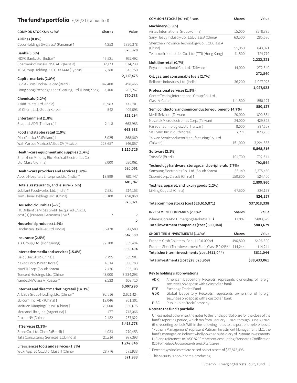# **The fund's portfolio** 6/30/21 (Unaudited)

| COMMON STOCKS (97.7%)*                                                                   | <b>Shares</b> | Value                |
|------------------------------------------------------------------------------------------|---------------|----------------------|
| Airlines (0.8%)                                                                          |               |                      |
| Copa Holdings SA Class A (Panama) †                                                      | 4,253         | \$320,378            |
| Banks (5.6%)                                                                             |               | 320,378              |
| HDFC Bank, Ltd. (India) †                                                                | 46,521        | 937,492              |
| Sberbank of Russia PJSC ADR (Russia)                                                     | 32,173        | 534,233              |
| TCS Group Holding PLC GDR 144A (Cyprus)                                                  | 7,380         | 645,750              |
| Capital markets (2.0%)                                                                   |               | 2,117,475            |
| B3 SA - Brasil Bolsa Balcao (Brazil)                                                     | 147,400       | 498,466              |
| Hong Kong Exchanges and Clearing, Ltd. (Hong Kong)                                       | 4,400         | 262,267              |
| Chemicals (2.2%)                                                                         |               | 760,733              |
| Asian Paints, Ltd. (India)                                                               | 10,983        | 442,201              |
| LG Chem, Ltd. (South Korea)                                                              | 542           | 409,093              |
| Entertainment (1.8%)                                                                     |               | 851,294              |
| Sea, Ltd. ADR (Thailand) †                                                               | 2,418         | 663,983              |
|                                                                                          |               | 663,983              |
| Food and staples retail (2.9%)<br>Dino Polska SA (Poland) †                              | 5,025         | 368,869              |
| Wal-Mart de Mexico SAB de CV (Mexico)                                                    | 228,657       | 746,857              |
|                                                                                          |               | 1,115,726            |
| Health-care equipment and supplies (1.4%)                                                |               |                      |
| Shenzhen Mindray Bio-Medical Electronics Co.,<br>Ltd. Class A (China)                    | 7,000         | 520,061              |
|                                                                                          |               | 520,061              |
| Health-care providers and services (1.8%)<br>Apollo Hospitals Enterprise, Ltd. (India) † | 13,999        | 681,747              |
|                                                                                          |               | 681,747              |
| Hotels, restaurants, and leisure (2.6%)                                                  |               |                      |
| Jubilant Foodworks, Ltd. (India) †                                                       | 7,581         | 314,153              |
| Yum China Holdings, Inc. (China)                                                         | 10,100        | 658,868<br>973,021   |
| Household durables (-%)                                                                  |               |                      |
| HC Brillant Services GmbH (acquired 8/2/13,                                              | 2             |                      |
| cost \$1) (Private) (Germany) † ∆∆ F                                                     |               | 2<br>2               |
| Household products (1.4%)                                                                |               |                      |
| Hindustan Unilever, Ltd. (India)                                                         | 16,470        | 547,589              |
| Insurance (2.5%)                                                                         |               | 547,589              |
| AIA Group, Ltd. (Hong Kong)                                                              | 77,200        | 959,494              |
| Interactive media and services (15.8%)                                                   |               | 959,494              |
| Baidu, Inc. ADR (China) †                                                                | 2,795         | 569,901              |
| Kakao Corp. (South Korea)                                                                | 4,814         | 696,783              |
| NAVER Corp. (South Korea)                                                                | 2,436         | 903,103              |
| Tencent Holdings, Ltd. (China)                                                           | 43,000        | 3,234,293            |
| Yandex NV Class A (Russia) †                                                             | 8,533         | 603,710              |
| Internet and direct marketing retail (14.3%)                                             |               | 6,007,790            |
| Alibaba Group Holding, Ltd. (China) †                                                    | 92,516        | 2,621,424            |
| JD.com, Inc. ADR (China) †                                                               | 12,046        | 961,391              |
| Meituan Dianping Class B (China) †                                                       | 20,600        | 850,075              |
| MercadoLibre, Inc. (Argentina) †                                                         | 477           | 743,066              |
| Prosus NV (China)                                                                        | 2,432         | 237,822<br>5,413,778 |
| IT Services (3.3%)                                                                       |               |                      |
| StoneCo., Ltd. Class A (Brazil) †                                                        | 4,033         | 270,453              |
| Tata Consultancy Services, Ltd. (India)                                                  | 21,714        | 977,393              |
| Life sciences tools and services (1.8%)                                                  |               | 1,247,846            |
| WuXi AppTec Co., Ltd. Class H (China)                                                    | 28,776        | 671,933              |
|                                                                                          |               | 671,933              |

| COMMON STOCKS (97.7%)* cont.                                                                        | Shares             | Value                  |
|-----------------------------------------------------------------------------------------------------|--------------------|------------------------|
| Machinery (5.9%)                                                                                    |                    |                        |
| Airtac International Group (China)                                                                  | 15,000             | \$578,735              |
| Sany Heavy Industry Co., Ltd. Class A (China)                                                       | 63,500             | 285,686                |
| Shenzhen Inovance Technology Co., Ltd. Class A                                                      |                    |                        |
| (China)                                                                                             | 55,950             | 643,021                |
| Techtronic Industries Co., Ltd. (TTI) (Hong Kong)                                                   | 41,500             | 724,779                |
| Multiline retail (0.7%)                                                                             |                    | 2,232,221              |
| Poya International Co., Ltd. (Taiwan)†                                                              | 14,000             | 272,840                |
| Oil, gas, and consumable fuels (2.7%)                                                               |                    | 272,840                |
| Reliance Industries, Ltd. (India)                                                                   | 36,200             | 1,027,923              |
|                                                                                                     |                    | 1,027,923              |
| Professional services (1.5%)                                                                        |                    |                        |
| Centre Testing International Group Co., Ltd.<br>Class A (China)                                     | 111,500            | 550,127                |
|                                                                                                     |                    | 550,127                |
| Semiconductors and semiconductor equipment (14.7%)                                                  |                    |                        |
| MediaTek, Inc. (Taiwan)                                                                             | 20,000             | 690,534                |
| Novatek Microelectronics Corp. (Taiwan)                                                             | 24,000             | 429,825                |
| Parade Technologies, Ltd. (Taiwan)                                                                  | 8,000              | 397,667                |
| SK Hynix, Inc. (South Korea)                                                                        | 7,271              | 823,205                |
| Taiwan Semiconductor Manufacturing Co., Ltd.                                                        |                    |                        |
| (Taiwan)                                                                                            | 151,000            | 3,224,585<br>5,565,816 |
| Software (2.1%)                                                                                     |                    |                        |
| Totys SA (Brazil)                                                                                   | 104,700            | 792,544                |
| Technology hardware, storage, and peripherals (7.7%)                                                |                    | 792,544                |
| Samsung Electronics Co., Ltd. (South Korea)                                                         | 33,149             | 2,375,460              |
| Xiaomi Corp. Class B (China) †                                                                      | 150,800            | 524,400                |
| Textiles, apparel, and luxury goods (2.2%)                                                          |                    | 2,899,860              |
| Li Ning Co., Ltd. (China)                                                                           | 67,500             | 824,157                |
|                                                                                                     |                    | 824,157                |
| Total common stocks (cost \$26,615,871)                                                             |                    | \$37,018,338           |
| INVESTMENT COMPANIES (2.1%)*                                                                        | <b>Shares</b>      | Value                  |
| iShares Core MSCI Emerging Markets ETFS                                                             | 11,997             | \$803,679              |
| Total investment companies (cost \$800,044)                                                         |                    | \$803,679              |
| SHORT-TERM INVESTMENTS (1.6%)*                                                                      | <b>Shares</b>      | Value                  |
|                                                                                                     |                    |                        |
| Putnam Cash Collateral Pool, LLC 0.09% <b>d</b><br>Putnam Short Term Investment Fund Class P0.09% L | 496,800<br>114,244 | \$496,800              |
|                                                                                                     |                    | 114,244                |
| Total short-term investments (cost \$611,044)                                                       |                    | \$611,044              |
| Total investments (cost \$28,026,959)                                                               |                    | \$38,433,061           |

#### **Key to holding's abbreviations**

- ADR American Depository Receipts: represents ownership of foreign securities on deposit with a custodian bank ETF Exchange Traded Fund
- GDR Global Depository Receipts: represents ownership of foreign securities on deposit with a custodian bank
- PJSC Public Joint Stock Company

#### **Notes to the fund's portfolio**

Unless noted otherwise, the notes to the fund's portfolio are for the close of the fund's reporting period, which ran from January 1, 2021 through June 30 2021 (the reporting period). Within the following notes to the portfolio, references to "Putnam Management" represent Putnam Investment Management, LLC, the fund's manager, an indirect wholly-owned subsidiary of Putnam Investments, LLC and references to "ASC 820" represent Accounting Standards Codification 820 *Fair Value Measurements and Disclosures*.

- \* Percentages indicated are based on net assets of \$37,873,495.
- † This security is non-income-producing.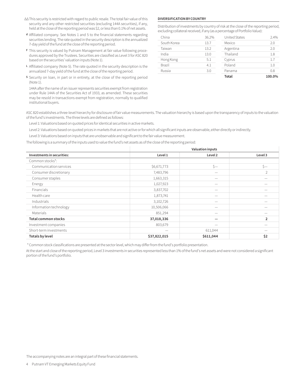- ∆∆This security is restricted with regard to public resale. The total fair value of this security and any other restricted securities (excluding 144A securities), if any, held at the close of the reporting period was \$2, or less than 0.1% of net assets.
- **<sup>d</sup>** Affiliated company. See Notes 1 and 5 to the financial statements regarding securities lending. The rate quoted in the security description is the annualized 7-day yield of the fund at the close of the reporting period.
- **<sup>F</sup>** This security is valued by Putnam Management at fair value following procedures approved by the Trustees. Securities are classified as Level 3 for ASC 820 based on the securities' valuation inputs (Note 1).
- **<sup>L</sup>** Affiliated company (Note 5). The rate quoted in the security description is the annualized 7-day yield of the fund at the close of the reporting period.
- **<sup>S</sup>** Security on loan, in part or in entirety, at the close of the reporting period (Note 1).

144A after the name of an issuer represents securities exempt from registration under Rule 144A of the Securities Act of 1933, as amended. These securities may be resold in transactions exempt from registration, normally to qualified institutional buyers.

#### **DIVERSIFICATION BY COUNTRY**

Distribution of investments by country of risk at the close of the reporting period, excluding collateral received, if any (as a percentage of Portfolio Value):

|               |       | Total                | 100.0% |
|---------------|-------|----------------------|--------|
| Russia        | 3.0   | Panama               | 0.8    |
| <b>Brazil</b> | 4.1   | Poland               | 1.0    |
| Hong Kong     | 5.1   | Cyprus               | 17     |
| India         | 13.0  | Thailand             | 1.8    |
| Taiwan        | 13.2  | Argentina            | 2.0    |
| South Korea   | 13.7  | Mexico               | 2.0    |
| China         | 36.2% | <b>United States</b> | 2.4%   |

ASC 820 establishes a three-level hierarchy for disclosure of fair value measurements. The valuation hierarchy is based upon the transparency of inputs to the valuation of the fund's investments. The three levels are defined as follows:

Level 1: Valuations based on quoted prices for identical securities in active markets.

Level 2: Valuations based on quoted prices in markets that are not active or for which all significant inputs are observable, either directly or indirectly.

Level 3: Valuations based on inputs that are unobservable and significant to the fair value measurement.

The following is a summary of the inputs used to value the fund's net assets as of the close of the reporting period:

|                            | <b>Valuation inputs</b> |           |                |  |  |  |  |  |  |
|----------------------------|-------------------------|-----------|----------------|--|--|--|--|--|--|
| Investments in securities: | Level 1                 | Level 2   | Level 3        |  |  |  |  |  |  |
| Common stocks*:            |                         |           |                |  |  |  |  |  |  |
| Communication services     | \$6,671,773             | $\zeta-$  | $\zeta-$       |  |  |  |  |  |  |
| Consumer discretionary     | 7,483,796               |           | 2              |  |  |  |  |  |  |
| Consumer staples           | 1,663,315               |           |                |  |  |  |  |  |  |
| Energy                     | 1,027,923               | —         |                |  |  |  |  |  |  |
| <b>Financials</b>          | 3,837,702               |           |                |  |  |  |  |  |  |
| Health care                | 1,873,741               |           |                |  |  |  |  |  |  |
| Industrials                | 3,102,726               |           |                |  |  |  |  |  |  |
| Information technology     | 10,506,066              | -         |                |  |  |  |  |  |  |
| Materials                  | 851,294                 |           |                |  |  |  |  |  |  |
| <b>Total common stocks</b> | 37,018,336              | —         | $\mathfrak{p}$ |  |  |  |  |  |  |
| Investment companies       | 803,679                 |           |                |  |  |  |  |  |  |
| Short-term investments     |                         | 611,044   |                |  |  |  |  |  |  |
| Totals by level            | \$37,822,015            | \$611,044 | \$2            |  |  |  |  |  |  |

\* Common stock classifications are presented at the sector level, which may differ from the fund's portfolio presentation.

At the start and close of the reporting period, Level 3 investments in securities represented less than 1% of the fund's net assets and were not considered a significant portion of the fund's portfolio.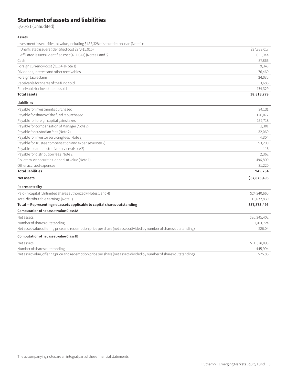# **Statement of assets and liabilities**

6/30/21 (Unaudited)

#### **Assets**

| Investment in securities, at value, including \$482,328 of securities on loan (Note 1):                             |              |
|---------------------------------------------------------------------------------------------------------------------|--------------|
| Unaffiliated issuers (identified cost \$27,415,915)                                                                 | \$37,822,017 |
| Affiliated issuers (identified cost \$611,044) (Notes 1 and 5)                                                      | 611,044      |
| Cash                                                                                                                | 87,866       |
| Foreign currency (cost \$9,164) (Note 1)                                                                            | 9,343        |
| Dividends, interest and other receivables                                                                           | 76,460       |
| Foreign tax reclaim                                                                                                 | 34,035       |
| Receivable for shares of the fund sold                                                                              | 3,685        |
| Receivable for investments sold                                                                                     | 174,329      |
| <b>Total assets</b>                                                                                                 | 38,818,779   |
| Liabilities                                                                                                         |              |
| Payable for investments purchased                                                                                   | 34,131       |
| Payable for shares of the fund repurchased                                                                          | 126,072      |
| Payable for foreign capital gains taxes                                                                             | 162,718      |
| Payable for compensation of Manager (Note 2)                                                                        | 2,301        |
| Payable for custodian fees (Note 2)                                                                                 | 32,060       |
| Payable for investor servicing fees (Note 2)                                                                        | 4,304        |
| Payable for Trustee compensation and expenses (Note 2)                                                              | 53,200       |
| Payable for administrative services (Note 2)                                                                        | 116          |
| Payable for distribution fees (Note 2)                                                                              | 2,362        |
| Collateral on securities loaned, at value (Note 1)                                                                  | 496,800      |
| Other accrued expenses                                                                                              | 31,220       |
| <b>Total liabilities</b>                                                                                            | 945,284      |
| Net assets                                                                                                          | \$37,873,495 |
| Represented by                                                                                                      |              |
| Paid-in capital (Unlimited shares authorized) (Notes 1 and 4)                                                       | \$24,240,665 |
| Total distributable earnings (Note 1)                                                                               | 13,632,830   |
| Total - Representing net assets applicable to capital shares outstanding                                            | \$37,873,495 |
| Computation of net asset value Class IA                                                                             |              |
| Net assets                                                                                                          | \$26,345,402 |
| Number of shares outstanding                                                                                        | 1,011,724    |
| Net asset value, offering price and redemption price per share (net assets divided by number of shares outstanding) | \$26.04      |
|                                                                                                                     |              |

#### **Computation of net asset value Class IB**

| Net assets                                                                                                          | \$11,528,093 |
|---------------------------------------------------------------------------------------------------------------------|--------------|
| Number of shares outstanding                                                                                        | 445.994      |
| Net asset value, offering price and redemption price per share (net assets divided by number of shares outstanding) | \$25.85      |
|                                                                                                                     |              |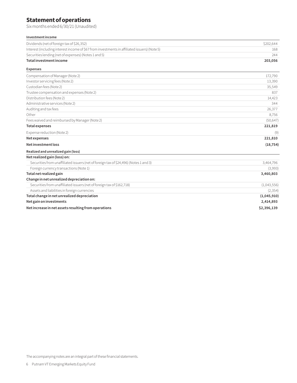# **Statement of operations**

Six months ended 6/30/21 (Unaudited)

| Investment income                                                                            |             |
|----------------------------------------------------------------------------------------------|-------------|
| Dividends (net of foreign tax of \$26,352)                                                   | \$202,644   |
| Interest (including interest income of \$67 from investments in affiliated issuers) (Note 5) | 168         |
| Securities lending (net of expenses) (Notes 1 and 5)                                         | 244         |
| <b>Total investment income</b>                                                               | 203,056     |
| <b>Expenses</b>                                                                              |             |
| Compensation of Manager (Note 2)                                                             | 172,790     |
| Investor servicing fees (Note 2)                                                             | 13,390      |
| Custodian fees (Note 2)                                                                      | 35,549      |
| Trustee compensation and expenses (Note 2)                                                   | 837         |
| Distribution fees (Note 2)                                                                   | 14,423      |
| Administrative services (Note 2)                                                             | 344         |
| Auditing and tax fees                                                                        | 26,377      |
| Other                                                                                        | 8,756       |
| Fees waived and reimbursed by Manager (Note 2)                                               | (50, 647)   |
| <b>Total expenses</b>                                                                        | 221,819     |
| Expense reduction (Note 2)                                                                   | (9)         |
| <b>Net expenses</b>                                                                          | 221,810     |
| Net investment loss                                                                          | (18, 754)   |
| Realized and unrealized gain (loss)                                                          |             |
| Net realized gain (loss) on:                                                                 |             |
| Securities from unaffiliated issuers (net of foreign tax of \$24,496) (Notes 1 and 3)        | 3,464,796   |
| Foreign currency transactions (Note 1)                                                       | (3,993)     |
| Total net realized gain                                                                      | 3,460,803   |
| Change in net unrealized depreciation on:                                                    |             |
| Securities from unaffiliated issuers (net of foreign tax of \$162,718)                       | (1,043,556) |
| Assets and liabilities in foreign currencies                                                 | (2, 354)    |

**Total change in net unrealized depreciation (1,045,910)**

**Net gain on investments 2,414,893** 

**Net increase in net assets resulting from operations \$2,396,139** 

The accompanying notes are an integral part of these financial statements.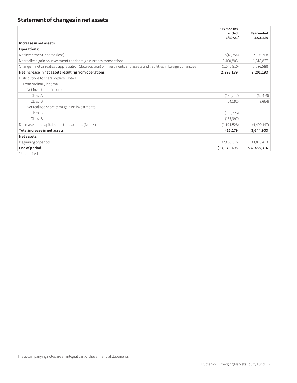# **Statement of changes in net assets**

|                                                                                                                      | Six months<br>ended<br>$6/30/21*$ | Year ended<br>12/31/20 |
|----------------------------------------------------------------------------------------------------------------------|-----------------------------------|------------------------|
| Increase in net assets                                                                                               |                                   |                        |
| Operations:                                                                                                          |                                   |                        |
| Net investment income (loss)                                                                                         | \$(18, 754)                       | \$195,768              |
| Net realized gain on investments and foreign currency transactions                                                   | 3,460,803                         | 1,318,837              |
| Change in net unrealized appreciation (depreciation) of investments and assets and liabilities in foreign currencies | (1,045,910)                       | 6,686,588              |
| Net increase in net assets resulting from operations                                                                 | 2,396,139                         | 8,201,193              |
| Distributions to shareholders (Note 1):                                                                              |                                   |                        |
| From ordinary income                                                                                                 |                                   |                        |
| Net investment income                                                                                                |                                   |                        |
| Class IA                                                                                                             | (180, 517)                        | (62, 479)              |
| Class IB                                                                                                             | (54, 192)                         | (3,664)                |
| Net realized short-term gain on investments                                                                          |                                   |                        |
| Class IA                                                                                                             | (383, 726)                        |                        |
| Class IB                                                                                                             | (167, 997)                        |                        |
| Decrease from capital share transactions (Note 4)                                                                    | (1, 194, 528)                     | (4,490,147)            |
| Total increase in net assets                                                                                         | 415,179                           | 3,644,903              |
| Net assets:                                                                                                          |                                   |                        |
| Beginning of period                                                                                                  | 37,458,316                        | 33,813,413             |
| End of period                                                                                                        | \$37,873,495                      | \$37,458,316           |

\* Unaudited.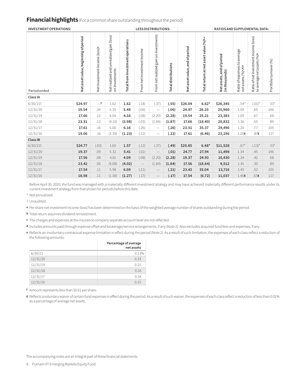### **Financial highlights** (For a common share outstanding throughout the period)

| <b>INVESTMENT OPERATIONS:</b> |                                      |                                           |                                                                 |                                  | <b>LESS DISTRIBUTIONS:</b> |                                       |                            |                              | RATIOS AND SUPPLEMENTAL DATA:          |                                             |                                                      |                                                                    |                        |
|-------------------------------|--------------------------------------|-------------------------------------------|-----------------------------------------------------------------|----------------------------------|----------------------------|---------------------------------------|----------------------------|------------------------------|----------------------------------------|---------------------------------------------|------------------------------------------------------|--------------------------------------------------------------------|------------------------|
| Period ended                  | Net asset value, beginning of period | Net investment income (loss) <sup>a</sup> | unrealized gain (loss)<br>and<br>on investments<br>Net realized | Total from investment operations | From net investment income | From net realized gain on investments | <b>Total distributions</b> | Netassetvalue, end of period | Total return at net asset value (%)b,c | Net assets, end of period<br>(in thousands) | Ratio of expenses to average<br>net assets (%) c,d,e | Ratio of net investment income (loss)<br>to average net assets (%) | Portfolio turnover (%) |
| Class IA                      |                                      |                                           |                                                                 |                                  |                            |                                       |                            |                              |                                        |                                             |                                                      |                                                                    |                        |
| 6/30/21                       | \$24.97                              | $-f$                                      | 1.62                                                            | 1.62                             | (.18)                      | (.37)                                 | (.55)                      | \$26.04                      | $6.62*$                                | \$26,345                                    | $.54*$                                               | $(.01)^*$                                                          | $33*$                  |
| 12/31/20                      | 19.54                                | .14                                       | 5.35                                                            | 5.49                             | (.06)                      | $\overline{\phantom{m}}$              | (.06)                      | 24.97                        | 28.25                                  | 25,960                                      | 1.09                                                 | .69                                                                | 146                    |
| 12/31/19                      | 17.66                                | .12                                       | 4.04                                                            | 4.16                             | (.08)                      | (2.20)                                | (2.28)                     | 19.54                        | 25.21                                  | 23,383                                      | 1.09                                                 | .67                                                                | 68                     |
| 12/31/18                      | 23.51                                | .12                                       | (4.10)                                                          | (3.98)                           | (.03)                      | (1.84)                                | (1.87)                     | 17.66                        | (18.40)                                | 20,832                                      | 1.16                                                 | .55                                                                | 89                     |
| 12/31/17                      | 17.61                                | .16                                       | 6.00                                                            | 6.16                             | (.26)                      | $\hspace{0.1mm}-\hspace{0.1mm}$       | (.26)                      | 23.51                        | 35.37                                  | 29,496                                      | 1.20                                                 | .77                                                                | 105                    |
| 12/31/16                      | 19.06                                | .16                                       | (1.39)                                                          | (1.23)                           | (.22)                      | $\overline{\phantom{m}}$              | (.22)                      | 17.61                        | (6.46)                                 | 23,196                                      | 1.208                                                | .87g                                                               | 117                    |
| Class IB                      |                                      |                                           |                                                                 |                                  |                            |                                       |                            |                              |                                        |                                             |                                                      |                                                                    |                        |
| 6/30/21                       | \$24.77                              | (.03)                                     | 1.60                                                            | 1.57                             | (.12)                      | (.37)                                 | (.49)                      | \$25.85                      | $6.48*$                                | \$11,528                                    | $.67*$                                               | $(.13)^*$                                                          | $33*$                  |
| 12/31/20                      | 19.37                                | .09                                       | 5.32                                                            | 5.41                             | (.01)                      | $\hspace{0.1mm}-\hspace{0.1mm}$       | (.01)                      | 24.77                        | 27.94                                  | 11,498                                      | 1.34                                                 | .45                                                                | 146                    |
| 12/31/19                      | 17.56                                | .08                                       | 4.01                                                            | 4.09                             | (.08)                      | (2.20)                                | (2.28)                     | 19.37                        | 24.93                                  | 10,430                                      | 1.34                                                 | .42                                                                | 68                     |
| 12/31/18                      | 23.42                                | .06                                       | (4.08)                                                          | (4.02)                           | $\qquad \qquad -$          | (1.84)                                | (1.84)                     | 17.56                        | (18.64)                                | 9,512                                       | 1.41                                                 | .30                                                                | 89                     |
| 12/31/17                      | 17.54                                | .11                                       | 5.98                                                            | 6.09                             | (.21)                      | $\overline{\phantom{m}}$              | (.21)                      | 23.42                        | 35.04                                  | 13,716                                      | 1.45                                                 | .52                                                                | 105                    |
| 12/31/16                      | 18.98                                | .11                                       | (1.38)                                                          | (1.27)                           | (.17)                      | $\overline{\phantom{m}}$              | (.17)                      | 17.54                        | (6.72)                                 | 11,037                                      | $1.45$ g                                             | .638                                                               | 117                    |

Before April 30, 2020, the fund was managed with a materially different investment strategy and may have achieved materially different performance results under its current investment strategy from that shown for periods before this date.

\* Not annualized.

† Unaudited.

**<sup>a</sup>** Per share net investment income (loss) has been determined on the basis of the weighted average number of shares outstanding during the period.

**<sup>b</sup>** Total return assumes dividend reinvestment.

**<sup>c</sup>** The charges and expenses at the insurance company separate account level are not reflected.

**<sup>d</sup>** Includes amounts paid through expense offset and brokerage/service arrangements, if any (Note 2). Also excludes acquired fund fees and expenses, if any.

**<sup>e</sup>** Reflects an involuntary contractual expense limitation in effect during the period (Note 2). As a result of such limitation, the expenses of each class reflect a reduction of the following amounts:

|          | Percentage of average<br>net assets |
|----------|-------------------------------------|
| 6/30/21  | 0.13%                               |
| 12/31/20 | 0.33                                |
| 12/31/19 | 0.21                                |
| 12/31/18 | 0.14                                |
| 12/31/17 | 0.14                                |
| 12/31/16 | 0.15                                |

**<sup>f</sup>** Amount represents less than \$0.01 per share.

**<sup>g</sup>** Reflects a voluntary waiver of certain fund expenses in effect during the period. As a result of such waiver, the expenses of each class reflect a reduction of less than 0.01% as a percentage of average net assets.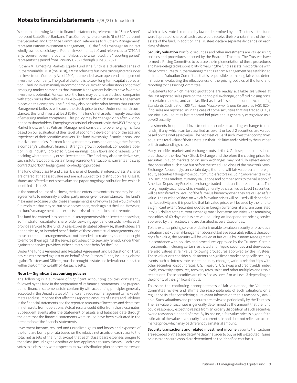# **Notes to financial statements** 6/30/21 (Unaudited)

Within the following Notes to financial statements, references to "State Street" represent State Street Bank and Trust Company, references to "the SEC" represent the Securities and Exchange Commission, references to "Putnam Management" represent Putnam Investment Management, LLC, the fund's manager, an indirect wholly-owned subsidiary of Putnam Investments, LLC and references to "OTC", if any, represent over-the-counter. Unless otherwise noted, the "reporting period" represents the period from January 1, 2021 through June 30, 2021.

Putnam VT Emerging Markets Equity Fund (the fund) is a diversified series of Putnam Variable Trust (the Trust), a Massachusetts business trust registered under the Investment Company Act of 1940, as amended, as an open-end management investment company. The goal of the fund is to seek long-term capital appreciation. The fund invests mainly in common stocks (growth or value stocks or both) of emerging market companies that Putnam Management believes have favorable investment potential. For example, the fund may purchase stocks of companies with stock prices that reflect a value lower than that which Putnam Management places on the company. The fund may also consider other factors that Putnam Management believes will cause the stock price to rise. Under normal circumstances, the fund invests at least 80% of the fund's net assets in equity securities of emerging market companies. This policy may be changed only after 60 days' notice to shareholders. Emerging markets include countries in the MSCI Emerging Market Index or that Putnam Management considers to be emerging markets based on our evaluation of their level of economic development or the size and experience of their securities markets. The fund invests significantly in small and midsize companies. Putnam Management may consider, among other factors, a company's valuation, financial strength, growth potential, competitive position in its industry, projected future earnings, cash flows and dividends when deciding whether to buy or sell investments. The fund may also use derivatives, such as futures, options, certain foreign currency transactions, warrants and swap contracts, for both hedging and non-hedging purposes.

The fund offers class IA and class IB shares of beneficial interest. Class IA shares are offered at net asset value and are not subject to a distribution fee. Class IB shares are offered at net asset value and pay an ongoing distribution fee, which is identified in Note 2.

In the normal course of business, the fund enters into contracts that may include agreements to indemnify another party under given circumstances. The fund's maximum exposure under these arrangements is unknown as this would involve future claims that may be, but have not yet been, made against the fund. However, the fund's management team expects the risk of material loss to be remote.

The fund has entered into contractual arrangements with an investment adviser, administrator, distributor, shareholder servicing agent and custodian, who each provide services to the fund. Unless expressly stated otherwise, shareholders are not parties to, or intended beneficiaries of these contractual arrangements, and these contractual arrangements are not intended to create any shareholder right to enforce them against the service providers or to seek any remedy under them against the service providers, either directly or on behalf of the fund.

Under the fund's Amended and Restated Agreement and Declaration of Trust, any claims asserted against or on behalf of the Putnam Funds, including claims against Trustees and Officers, must be brought in state and federal courts located within the Commonwealth of Massachusetts.

#### **Note 1 — Significant accounting policies**

The following is a summary of significant accounting policies consistently followed by the fund in the preparation of its financial statements. The preparation of financial statements is in conformity with accounting principles generally accepted in the United States of America and requires management to make estimates and assumptions that affect the reported amounts of assets and liabilities in the financial statements and the reported amounts of increases and decreases in net assets from operations. Actual results could differ from those estimates. Subsequent events after the Statement of assets and liabilities date through the date that the financial statements were issued have been evaluated in the preparation of the financial statements.

Investment income, realized and unrealized gains and losses and expenses of the fund are borne pro-rata based on the relative net assets of each class to the total net assets of the fund, except that each class bears expenses unique to that class (including the distribution fees applicable to such classes). Each class votes as a class only with respect to its own distribution plan or other matters on which a class vote is required by law or determined by the Trustees. If the fund were liquidated, shares of each class would receive their pro-rata share of the net assets of the fund. In addition, the Trustees declare separate dividends on each class of shares.

**Security valuation** Portfolio securities and other investments are valued using policies and procedures adopted by the Board of Trustees. The Trustees have formed a Pricing Committee to oversee the implementation of these procedures and have delegated responsibility for valuing the fund's assets in accordance with these procedures to Putnam Management. Putnam Management has established an internal Valuation Committee that is responsible for making fair value determinations, evaluating the effectiveness of the pricing policies of the fund and reporting to the Pricing Committee.

Investments for which market quotations are readily available are valued at the last reported sales price on their principal exchange, or official closing price for certain markets, and are classified as Level 1 securities under Accounting Standards Codification 820 *Fair Value Measurements and Disclosures* (ASC 820). If no sales are reported, as in the case of some securities that are traded OTC, a security is valued at its last reported bid price and is generally categorized as a Level 2 security.

Investments in open-end investment companies (excluding exchange-traded funds), if any, which can be classified as Level 1 or Level 2 securities, are valued based on their net asset value. The net asset value of such investment companies equals the total value of their assets less their liabilities and divided by the number of their outstanding shares.

Many securities markets and exchanges outside the U.S. close prior to the scheduled close of the New York Stock Exchange and therefore the closing prices for securities in such markets or on such exchanges may not fully reflect events that occur after such close but before the scheduled close of the New York Stock Exchange. Accordingly, on certain days, the fund will fair value certain foreign equity securities taking into account multiple factors including movements in the U.S. securities markets, currency valuations and comparisons to the valuation of American Depository Receipts, exchange-traded funds and futures contracts. The foreign equity securities, which would generally be classified as Level 1 securities, will be transferred to Level 2 of the fair value hierarchy when they are valued at fair value. The number of days on which fair value prices will be used will depend on market activity and it is possible that fair value prices will be used by the fund to a significant extent. Securities quoted in foreign currencies, if any, are translated into U.S. dollars at the current exchange rate. Short-term securities with remaining maturities of 60 days or less are valued using an independent pricing service approved by the Trustees, and are classified as Level 2 securities.

To the extent a pricing service or dealer is unable to value a security or provides a valuation that Putnam Management does not believe accurately reflects the security's fair value, the security will be valued at fair value by Putnam Management in accordance with policies and procedures approved by the Trustees. Certain investments, including certain restricted and illiquid securities and derivatives, are also valued at fair value following procedures approved by the Trustees. These valuations consider such factors as significant market or specific security events such as interest rate or credit quality changes, various relationships with other securities, discount rates, U.S. Treasury, U.S. swap and credit yields, index levels, convexity exposures, recovery rates, sales and other multiples and resale restrictions. These securities are classified as Level 2 or as Level 3 depending on the priority of the significant inputs.

To assess the continuing appropriateness of fair valuations, the Valuation Committee reviews and affirms the reasonableness of such valuations on a regular basis after considering all relevant information that is reasonably available. Such valuations and procedures are reviewed periodically by the Trustees. The fair value of securities is generally determined as the amount that the fund could reasonably expect to realize from an orderly disposition of such securities over a reasonable period of time. By its nature, a fair value price is a good faith estimate of the value of a security in a current sale and does not reflect an actual market price, which may be different by a material amount.

**Security transactions and related investment income** Security transactions are recorded on the trade date (the date the order to buy or sell is executed). Gains or losses on securities sold are determined on the identified cost basis.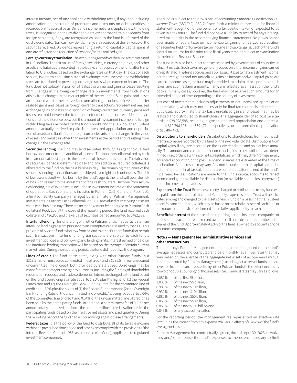Interest income, net of any applicable withholding taxes, if any, and including amortization and accretion of premiums and discounts on debt securities, is recorded on the accrual basis. Dividend income, net of any applicable withholding taxes, is recognized on the ex-dividend date except that certain dividends from foreign securities, if any, are recognized as soon as the fund is informed of the ex-dividend date. Non-cash dividends, if any, are recorded at the fair value of the securities received. Dividends representing a return of capital or capital gains, if any, are reflected as a reduction of cost and/or as a realized gain.

**Foreign currency translation** The accounting records of the fund are maintained in U.S. dollars. The fair value of foreign securities, currency holdings, and other assets and liabilities is recorded in the books and records of the fund after translation to U.S. dollars based on the exchange rates on that day. The cost of each security is determined using historical exchange rates. Income and withholding taxes are translated at prevailing exchange rates when earned or incurred. The fund does not isolate that portion of realized or unrealized gains or losses resulting from changes in the foreign exchange rate on investments from fluctuations arising from changes in the market prices of the securities. Such gains and losses are included with the net realized and unrealized gain or loss on investments. Net realized gains and losses on foreign currency transactions represent net realized exchange gains or losses on disposition of foreign currencies, currency gains and losses realized between the trade and settlement dates on securities transactions and the difference between the amount of investment income and foreign withholding taxes recorded on the fund's books and the U.S. dollar equivalent amounts actually received or paid. Net unrealized appreciation and depreciation of assets and liabilities in foreign currencies arise from changes in the value of assets and liabilities other than investments at the period end, resulting from changes in the exchange rate.

**Securities lending** The fund may lend securities, through its agent, to qualified borrowers in order to earn additional income. The loans are collateralized by cash in an amount at least equal to the fair value of the securities loaned. The fair value of securities loaned is determined daily and any additional required collateral is allocated to the fund on the next business day. The remaining maturities of the securities lending transactions are considered overnight and continuous. The risk of borrower default will be borne by the fund's agent; the fund will bear the risk of loss with respect to the investment of the cash collateral. Income from securities lending, net of expenses, is included in investment income on the Statement of operations. Cash collateral is invested in Putnam Cash Collateral Pool, LLC, a limited liability company managed by an affiliate of Putnam Management. Investments in Putnam Cash Collateral Pool, LLC are valued at its closing net asset value each business day. There are no management fees charged to Putnam Cash Collateral Pool, LLC. At the close of the reporting period, the fund received cash collateral of \$496,800 and the value of securities loaned amounted to \$482,328.

**Interfund lending** The fund, along with other Putnam funds, may participate in an interfund lending program pursuant to an exemptive order issued by the SEC. This program allows the fund to borrow from or lend to other Putnam funds that permit such transactions. Interfund lending transactions are subject to each fund's investment policies and borrowing and lending limits. Interest earned or paid on the interfund lending transaction will be based on the average of certain current market rates. During the reporting period, the fund did not utilize the program.

**Lines of credit** The fund participates, along with other Putnam funds, in a \$317.5 million unsecured committed line of credit and a \$235.5 million unsecured uncommitted line of credit, both provided by State Street. Borrowings may be made for temporary or emergency purposes, including the funding of shareholder redemption requests and trade settlements. Interest is charged to the fund based on the fund's borrowing at a rate equal to 1.25% plus the higher of (1) the Federal Funds rate and (2) the Overnight Bank Funding Rate for the committed line of credit and 1.30% plus the higher of (1) the Federal Funds rate and (2) the Overnight Bank Funding Rate for the uncommitted line of credit. A closing fee equal to 0.04% of the committed line of credit and 0.04% of the uncommitted line of credit has been paid by the participating funds. In addition, a commitment fee of 0.21% per annum on any unutilized portion of the committed line of credit is allocated to the participating funds based on their relative net assets and paid quarterly. During the reporting period, the fund had no borrowings against these arrangements.

**Federal taxes** It is the policy of the fund to distribute all of its taxable income within the prescribed time period and otherwise comply with the provisions of the Internal Revenue Code of 1986, as amended (the Code), applicable to regulated investment companies.

The fund is subject to the provisions of Accounting Standards Codification 740 *Income Taxes* (ASC 740). ASC 740 sets forth a minimum threshold for financial statement recognition of the benefit of a tax position taken or expected to be taken in a tax return. The fund did not have a liability to record for any unrecognized tax benefits in the accompanying financial statements. No provision has been made for federal taxes on income, capital gains or unrealized appreciation on securities held nor for excise tax on income and capital gains. Each of the fund's federal tax returns for the prior three fiscal years remains subject to examination by the Internal Revenue Service.

The fund may also be subject to taxes imposed by governments of countries in which it invests. Such taxes are generally based on either income or gains earned or repatriated. The fund accrues and applies such taxes to net investment income, net realized gains and net unrealized gains as income and/or capital gains are earned. In some cases, the fund may be entitled to reclaim all or a portion of such taxes, and such reclaim amounts, if any, are reflected as an asset on the fund's books. In many cases, however, the fund may not receive such amounts for an extended period of time, depending on the country of investment.

Tax cost of investments includes adjustments to net unrealized appreciation (depreciation) which may not necessarily be final tax cost basis adjustments, but closely approximate the tax basis unrealized gains and losses that may be realized and distributed to shareholders. The aggregate identified cost on a tax basis is \$28,028,588, resulting in gross unrealized appreciation and depreciation of \$10,796,197 and \$391,724, respectively, or net unrealized appreciation of \$10,404,473.

**Distributions to shareholders** Distributions to shareholders from net investment income are recorded by the fund on the ex-dividend date. Distributions from capital gains, if any, are recorded on the ex-dividend date and paid at least annually. The amount and character of income and gains to be distributed are determined in accordance with income tax regulations, which may differ from generally accepted accounting principles. Dividend sources are estimated at the time of declaration. Actual results may vary. Any non-taxable return of capital cannot be determined until final tax calculations are completed after the end of the fund's fiscal year. Reclassifications are made to the fund's capital accounts to reflect income and gains available for distribution (or available capital loss carryovers) under income tax regulations.

**Expenses of the Trust** Expenses directly charged or attributable to any fund will be paid from the assets of that fund. Generally, expenses of the Trust will be allocated among and charged to the assets of each fund on a basis that the Trustees deem fair and equitable, which may be based on the relative assets of each fund or the nature of the services performed and relative applicability to each fund.

**Beneficial interest** At the close of the reporting period, insurance companies or their separate accounts were record owners of all but a de minimis number of the shares of the fund. Approximately 41.0% of the fund is owned by accounts of one insurance company.

#### **Note 2 — Management fee, administrative services and other transactions**

The fund pays Putnam Management a management fee (based on the fund's average net assets and computed and paid monthly) at annual rates that may vary based on the average of the aggregate net assets of all open-end mutual funds sponsored by Putnam Management (excluding net assets of funds that are invested in, or that are invested in by, other Putnam funds to the extent necessary to avoid "double counting" of those assets). Such annual rates may vary as follows:

| 1.080% | of the first \$5 billion,     |
|--------|-------------------------------|
| 1.030% | of the next \$5 billion,      |
| 0.980% | of the next \$10 billion,     |
| 0.930% | of the next \$10 billion,     |
| 0.880% | of the next \$50 billion,     |
| 0.860% | of the next \$50 billion,     |
| 0.850% | of the next \$100 billion and |
| 0.845% | of any excess thereafter.     |

For the reporting period, the management fee represented an effective rate (excluding the impact from any expense waivers in effect) of 0.452% of the fund's average net assets.

Putnam Management has contractually agreed, through April 30, 2023, to waive fees and/or reimburse the fund's expenses to the extent necessary to limit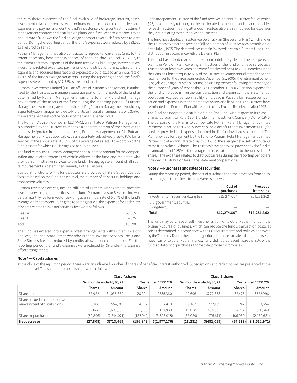the cumulative expenses of the fund, exclusive of brokerage, interest, taxes, investment-related expenses, extraordinary expenses, acquired fund fees and expenses and payments under the fund's investor servicing contract, investment management contract and distribution plans, on a fiscal year-to-date basis to an annual rate of 0.20% of the fund's average net assets over such fiscal year-to-date period. During the reporting period, the fund's expenses were reduced by \$33,022 as a result of this limit.

Putnam Management has also contractually agreed to waive fees (and, to the extent necessary, bear other expenses) of the fund through April 30, 2023, to the extent that total expenses of the fund (excluding brokerage, interest, taxes, investment-related expenses, payments under distribution plans, extraordinary expenses and acquired fund fees and expenses) would exceed an annual rate of 1.09% of the fund's average net assets. During the reporting period, the fund's expenses were reduced by \$17,625 as a result of this limit.

Putnam Investments Limited (PIL), an affiliate of Putnam Management, is authorized by the Trustees to manage a separate portion of the assets of the fund as determined by Putnam Management from time to time. PIL did not manage any portion of the assets of the fund during the reporting period. If Putnam Management were to engage the services of PIL, Putnam Management would pay a quarterly sub-management fee to PIL for its services at an annual rate of 0.35% of the average net assets of the portion of the fund managed by PIL.

The Putnam Advisory Company, LLC (PAC), an affiliate of Putnam Management, is authorized by the Trustees to manage a separate portion of the assets of the fund, as designated from time to time by Putnam Management or PIL. Putnam Management or PIL, as applicable, pays a quarterly sub-advisory fee to PAC for its services at the annual rate of 0.35% of the average net assets of the portion of the fund's assets for which PAC is engaged as sub-adviser.

The fund reimburses Putnam Management an allocated amount for the compensation and related expenses of certain officers of the fund and their staff who provide administrative services to the fund. The aggregate amount of all such reimbursements is determined annually by the Trustees.

Custodial functions for the fund's assets are provided by State Street. Custody fees are based on the fund's asset level, the number of its security holdings and transaction volumes.

Putnam Investor Services, Inc., an affiliate of Putnam Management, provides investor servicing agent functions to the fund. Putnam Investor Services, Inc. was paid a monthly fee for investor servicing at an annual rate of 0.07% of the fund's average daily net assets. During the reporting period, the expenses for each class of shares related to investor servicing fees were as follows:

| Class IA | \$9,315  |
|----------|----------|
| Class IB | 4.075    |
| Total    | \$13,390 |

The fund has entered into expense offset arrangements with Putnam Investor Services, Inc. and State Street whereby Putnam Investor Services, Inc.'s and State Street's fees are reduced by credits allowed on cash balances. For the reporting period, the fund's expenses were reduced by \$9 under the expense offset arrangements.

**Note 4 — Capital shares**

Each Independent Trustee of the fund receives an annual Trustee fee, of which \$25, as a quarterly retainer, has been allocated to the fund, and an additional fee for each Trustees meeting attended. Trustees also are reimbursed for expenses they incur relating to their services as Trustees.

The fund has adopted a Trustee Fee Deferral Plan (the Deferral Plan) which allows the Trustees to defer the receipt of all or a portion of Trustees fees payable on or after July 1, 1995. The deferred fees remain invested in certain Putnam funds until distribution in accordance with the Deferral Plan.

The fund has adopted an unfunded noncontributory defined benefit pension plan (the Pension Plan) covering all Trustees of the fund who have served as a Trustee for at least five years and were first elected prior to 2004. Benefits under the Pension Plan are equal to 50% of the Trustee's average annual attendance and retainer fees for the three years ended December 31, 2005. The retirement benefit is payable during a Trustee's lifetime, beginning the year following retirement, for the number of years of service through December 31, 2006. Pension expense for the fund is included in Trustee compensation and expenses in the Statement of operations. Accrued pension liability is included in Payable for Trustee compensation and expenses in the Statement of assets and liabilities. The Trustees have terminated the Pension Plan with respect to any Trustee first elected after 2003.

The fund has adopted a distribution plan (the Plan) with respect to its class IB shares pursuant to Rule 12b–1 under the Investment Company Act of 1940. The purpose of the Plan is to compensate Putnam Retail Management Limited Partnership, an indirect wholly-owned subsidiary of Putnam Investments, LLC, for services provided and expenses incurred in distributing shares of the fund. The Plan provides for payment by the fund to Putnam Retail Management Limited Partnership at an annual rate of up to 0.35% of the average net assets attributable to the fund's class IB shares. The Trustees have approved payment by the fund at an annual rate of 0.25% of the average net assets attributable to the fund's class IB shares. The expenses related to distribution fees during the reporting period are included in Distribution fees in the Statement of operations.

#### **Note 3 — Purchases and sales of securities**

During the reporting period, the cost of purchases and the proceeds from sales, excluding short-term investments, were as follows:

|                                           | Cost of<br>purchases | Proceeds<br>from sales |
|-------------------------------------------|----------------------|------------------------|
| Investments in securities (Long-term)     | \$12,274,607         | \$14,281,362           |
| U.S. government securities<br>(Long-term) |                      |                        |
| Total                                     | \$12,274,607         | \$14,281,362           |

The fund may purchase or sell investments from or to other Putnam funds in the ordinary course of business, which can reduce the fund's transaction costs, at prices determined in accordance with SEC requirements and policies approved by the Trustees. During the reporting period, purchases or sales of long-term securities from or to other Putnam funds, if any, did not represent more than 5% of the fund's total cost of purchases and/or total proceeds from sales.

At the close of the reporting period, there were an unlimited number of shares of beneficial interest authorized. Subscriptions and redemptions are presented at the omnibus level. Transactions in capital shares were as follows:

|                                  | Class IA shares          |              |                     |               | Class IB shares          |              |                     |               |
|----------------------------------|--------------------------|--------------|---------------------|---------------|--------------------------|--------------|---------------------|---------------|
|                                  | Six months ended 6/30/21 |              | Year ended 12/31/20 |               | Six months ended 6/30/21 |              | Year ended 12/31/20 |               |
|                                  | <b>Shares</b>            | Amount       | <b>Shares</b>       | Amount        | <b>Shares</b>            | Amount       | <b>Shares</b>       | Amount        |
| Shares sold                      | 38.982                   | \$1,036,359  | 26,904              | \$555,360     | 10,696                   | \$272,363    | 32,475              | \$622,996     |
| Shares issued in connection with |                          |              |                     |               |                          |              |                     |               |
| reinvestment of distributions    | 23,106                   | 564,243      | 4,102               | 62,479        | 9,162                    | 222,189      | 242                 | 3.664         |
|                                  | 62,088                   | 1,600,602    | 31,006              | 617,839       | 19,858                   | 494,552      | 32.717              | 626.660       |
| Shares repurchased               | (89, 896)                | (2,314,071)  | (187,949)           | (3,595,015)   | (38,089)                 | (975, 611)   | (106, 930)          | (2, 139, 631) |
| Net decrease                     | (27, 808)                | \$(713, 469) | (156, 943)          | \$(2,977,176) | (18, 231)                | \$ (481,059) | (74, 213)           | \$(1,512,971) |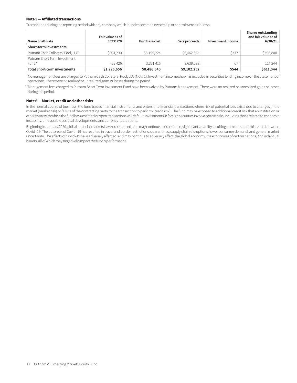#### **Note 5 — Affiliated transactions**

Transactions during the reporting period with any company which is under common ownership or control were as follows:

| Name of affiliate                   | Fair value as of<br>12/31/20 | Purchase cost | Sale proceeds | Investment income | Shares outstanding<br>and fair value as of<br>6/30/21 |
|-------------------------------------|------------------------------|---------------|---------------|-------------------|-------------------------------------------------------|
| Short-term investments              |                              |               |               |                   |                                                       |
| Putnam Cash Collateral Pool, LLC*   | \$804,230                    | \$5,155,224   | \$5,462,654   | \$477             | \$496,800                                             |
| Putnam Short Term Investment        |                              |               |               |                   |                                                       |
| Fund**                              | 422.426                      | 3,331,416     | 3,639,598     | 67                | 114.244                                               |
| <b>Total Short-term investments</b> | \$1,226,656                  | \$8,486,640   | \$9,102,252   | \$544             | \$611,044                                             |

\*No management fees are charged to Putnam Cash Collateral Pool, LLC (Note 1). Investment income shown is included in securities lending income on the Statement of operations. There were no realized or unrealized gains or losses during the period.

\*\*Management fees charged to Putnam Short Term Investment Fund have been waived by Putnam Management. There were no realized or unrealized gains or losses during the period.

#### **Note 6 — Market, credit and other risks**

In the normal course of business, the fund trades financial instruments and enters into financial transactions where risk of potential loss exists due to changes in the market (market risk) or failure of the contracting party to the transaction to perform (credit risk). The fund may be exposed to additional credit risk that an institution or other entity with which the fund has unsettled or open transactions will default.Investments in foreign securities involve certain risks, including those related to economic instability, unfavorable political developments, and currency fluctuations.

Beginning in January 2020, global financial markets have experienced, and may continue to experience, significant volatility resulting from the spread of a virus known as Covid–19. The outbreak of Covid–19 has resulted in travel and border restrictions, quarantines, supply chain disruptions, lower consumer demand, and general market uncertainty. The effects of Covid–19 have adversely affected, and may continue to adversely affect, the global economy, the economies of certain nations, and individual issuers, all of which may negatively impact the fund's performance.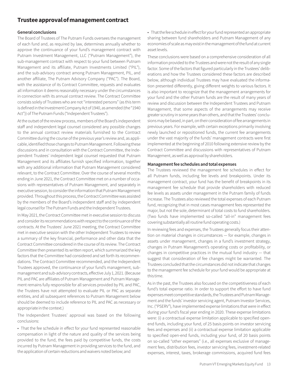# **Trustee approval of management contract**

#### **General conclusions**

The Board of Trustees of The Putnam Funds oversees the management of each fund and, as required by law, determines annually whether to approve the continuance of your fund's management contract with Putnam Investment Management, LLC ("Putnam Management"), the sub-management contract with respect to your fund between Putnam Management and its affiliate, Putnam Investments Limited ("PIL"), and the sub-advisory contract among Putnam Management, PIL, and another affiliate, The Putnam Advisory Company ("PAC"). The Board, with the assistance of its Contract Committee, requests and evaluates all information it deems reasonably necessary under the circumstances in connection with its annual contract review. The Contract Committee consists solely of Trustees who are not "interested persons" (as this term is defined in the Investment Company Act of 1940, as amended (the "1940 Act")) of The Putnam Funds ("Independent Trustees").

At the outset of the review process, members of the Board's independent staff and independent legal counsel considered any possible changes to the annual contract review materials furnished to the Contract Committee during the course of the previous year's review and, as applicable, identified those changes to Putnam Management. Following these discussions and in consultation with the Contract Committee, the Independent Trustees' independent legal counsel requested that Putnam Management and its affiliates furnish specified information, together with any additional information that Putnam Management considered relevant, to the Contract Committee. Over the course of several months ending in June 2021, the Contract Committee met on a number of occasions with representatives of Putnam Management, and separately in executive session, to consider the information that Putnam Management provided. Throughout this process, the Contract Committee was assisted by the members of the Board's independent staff and by independent legal counsel for The Putnam Funds and the Independent Trustees.

In May 2021, the Contract Committee met in executive session to discuss and consider its recommendations with respect to the continuance of the contracts. At the Trustees' June 2021 meeting, the Contract Committee met in executive session with the other Independent Trustees to review a summary of the key financial, performance and other data that the Contract Committee considered in the course of its review. The Contract Committee then presented its written report, which summarized the key factors that the Committee had considered and set forth its recommendations. The Contract Committee recommended, and the Independent Trustees approved, the continuance of your fund's management, submanagement and sub-advisory contracts, effective July 1, 2021. (Because PIL and PAC are affiliates of Putnam Management and Putnam Management remains fully responsible for all services provided by PIL and PAC, the Trustees have not attempted to evaluate PIL or PAC as separate entities, and all subsequent references to Putnam Management below should be deemed to include reference to PIL and PAC as necessary or appropriate in the context.)

The Independent Trustees' approval was based on the following conclusions:

• That the fee schedule in effect for your fund represented reasonable compensation in light of the nature and quality of the services being provided to the fund, the fees paid by competitive funds, the costs incurred by Putnam Management in providing services to the fund, and the application of certain reductions and waivers noted below; and

• That the fee schedule in effect for your fund represented an appropriate sharing between fund shareholders and Putnam Management of any economies of scale as may exist in the management of the fund at current asset levels.

These conclusions were based on a comprehensive consideration of all information provided to the Trustees and were not the result of any single factor. Some of the factors that figured particularly in the Trustees' deliberations and how the Trustees considered these factors are described below, although individual Trustees may have evaluated the information presented differently, giving different weights to various factors. It is also important to recognize that the management arrangements for your fund and the other Putnam funds are the result of many years of review and discussion between the Independent Trustees and Putnam Management, that some aspects of the arrangements may receive greater scrutiny in some years than others, and that the Trustees' conclusions may be based, in part, on their consideration of fee arrangements in previous years. For example, with certain exceptions primarily involving newly launched or repositioned funds, the current fee arrangements under the vast majority of the funds' management contracts were first implemented at the beginning of 2010 following extensive review by the Contract Committee and discussions with representatives of Putnam Management, as well as approval by shareholders.

#### **Management fee schedules and total expenses**

The Trustees reviewed the management fee schedules in effect for all Putnam funds, including fee levels and breakpoints. Under its management contract, your fund has the benefit of breakpoints in its management fee schedule that provide shareholders with reduced fee levels as assets under management in the Putnam family of funds increase. The Trustees also reviewed the total expenses of each Putnam fund, recognizing that in most cases management fees represented the major, but not the sole, determinant of total costs to fund shareholders. (Two funds have implemented so-called "all-in" management fees covering substantially all routine fund operating costs.)

In reviewing fees and expenses, the Trustees generally focus their attention on material changes in circumstances — for example, changes in assets under management, changes in a fund's investment strategy, changes in Putnam Management's operating costs or profitability, or changes in competitive practices in the mutual fund industry — that suggest that consideration of fee changes might be warranted. The Trustees concluded that the circumstances did not indicate that changes to the management fee schedule for your fund would be appropriate at this time.

As in the past, the Trustees also focused on the competitiveness of each fund's total expense ratio. In order to support the effort to have fund expenses meet competitive standards, the Trustees and Putnam Management and the funds' investor servicing agent, Putnam Investor Services, Inc. ("PSERV"), have implemented expense limitations that were in effect during your fund's fiscal year ending in 2020. These expense limitations were: (i) a contractual expense limitation applicable to specified openend funds, including your fund, of 25 basis points on investor servicing fees and expenses and (ii) a contractual expense limitation applicable to specified open-end funds, including your fund, of 20 basis points on so-called "other expenses" (i.e., all expenses exclusive of management fees, distribution fees, investor servicing fees, investment-related expenses, interest, taxes, brokerage commissions, acquired fund fees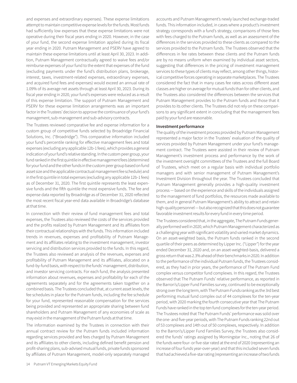and expenses and extraordinary expenses). These expense limitations attempt to maintain competitive expense levels for the funds. Most funds had sufficiently low expenses that these expense limitations were not operative during their fiscal years ending in 2020. However, in the case of your fund, the second expense limitation applied during its fiscal year ending in 2020. Putnam Management and PSERV have agreed to maintain these expense limitations until at least April 30, 2023. In addition, Putnam Management contractually agreed to waive fees and/or reimburse expenses of your fund to the extent that expenses of the fund (excluding payments under the fund's distribution plans, brokerage, interest, taxes, investment-related expenses, extraordinary expenses, and acquired fund fees and expenses) would exceed an annual rate of 1.09% of its average net assets through at least April 30, 2023. During its fiscal year ending in 2020, your fund's expenses were reduced as a result of this expense limitation. The support of Putnam Management and PSERV for these expense limitation arrangements was an important factor in the Trustees' decision to approve the continuance of your fund's management, sub-management and sub-advisory contracts.

The Trustees reviewed comparative fee and expense information for a custom group of competitive funds selected by Broadridge Financial Solutions, Inc. ("Broadridge"). This comparative information included your fund's percentile ranking for effective management fees and total expenses (excluding any applicable 12b-1 fees), which provides a general indication of your fund's relative standing. In the custom peer group, your fund ranked in the first quintile in effective management fees (determined for your fund and the other funds in the custom peer group based on fund asset size and the applicable contractual management fee schedule) and in the first quintile in total expenses (excluding any applicable 12b-1 fees) as of December 31, 2020. The first quintile represents the least expensive funds and the fifth quintile the most expensive funds. The fee and expense data reported by Broadridge as of December 31, 2020 reflected the most recent fiscal year-end data available in Broadridge's database at that time.

In connection with their review of fund management fees and total expenses, the Trustees also reviewed the costs of the services provided and the profits realized by Putnam Management and its affiliates from their contractual relationships with the funds. This information included trends in revenues, expenses and profitability of Putnam Management and its affiliates relating to the investment management, investor servicing and distribution services provided to the funds. In this regard, the Trustees also reviewed an analysis of the revenues, expenses and profitability of Putnam Management and its affiliates, allocated on a fund-by-fund basis, with respect to the funds' management, distribution, and investor servicing contracts. For each fund, the analysis presented information about revenues, expenses and profitability for each of the agreements separately and for the agreements taken together on a combined basis. The Trustees concluded that, at current asset levels, the fee schedules in place for the Putnam funds, including the fee schedule for your fund, represented reasonable compensation for the services being provided and represented an appropriate sharing between fund shareholders and Putnam Management of any economies of scale as may exist in the management of the Putnam funds at that time.

The information examined by the Trustees in connection with their annual contract review for the Putnam funds included information regarding services provided and fees charged by Putnam Management and its affiliates to other clients, including defined benefit pension and profit-sharing plans, sub-advised mutual funds, private funds sponsored by affiliates of Putnam Management, model-only separately managed

accounts and Putnam Management's newly launched exchange-traded funds. This information included, in cases where a product's investment strategy corresponds with a fund's strategy, comparisons of those fees with fees charged to the Putnam funds, as well as an assessment of the differences in the services provided to these clients as compared to the services provided to the Putnam funds. The Trustees observed that the differences in fee rates between these clients and the Putnam funds are by no means uniform when examined by individual asset sectors, suggesting that differences in the pricing of investment management services to these types of clients may reflect, among other things, historical competitive forces operating in separate marketplaces. The Trustees considered the fact that in many cases fee rates across different asset classes are higher on average for mutual funds than for other clients, and the Trustees also considered the differences between the services that Putnam Management provides to the Putnam funds and those that it provides to its other clients. The Trustees did not rely on these comparisons to any significant extent in concluding that the management fees paid by your fund are reasonable.

#### **Investment performance**

The quality of the investment process provided by Putnam Management represented a major factor in the Trustees' evaluation of the quality of services provided by Putnam Management under your fund's management contract. The Trustees were assisted in their review of Putnam Management's investment process and performance by the work of the investment oversight committees of the Trustees and the full Board of Trustees, which meet on a regular basis with individual portfolio managers and with senior management of Putnam Management's Investment Division throughout the year. The Trustees concluded that Putnam Management generally provides a high-quality investment process — based on the experience and skills of the individuals assigned to the management of fund portfolios, the resources made available to them, and in general Putnam Management's ability to attract and retain high-quality personnel — but also recognized that this does not guarantee favorable investment results for every fund in every time period.

The Trustees considered that, in the aggregate, The Putnam Funds generally performed well in 2020, which Putnam Management characterized as a challenging year with significant volatility and varied market dynamics. On an asset-weighted basis, the Putnam funds ranked in the second quartile of their peers as determined by Lipper Inc. ("Lipper") for the year ended December 31, 2020 and, on an asset-weighted-basis, delivered a gross return that was 2.3% ahead of their benchmarks in 2020. In addition to the performance of the individual Putnam funds, the Trustees considered, as they had in prior years, the performance of The Putnam Fund complex versus competitor fund complexes. In this regard, the Trustees observed that The Putnam Funds' relative performance, as reported in the Barron's/Lipper Fund Families survey, continued to be exceptionally strong over the long term, with The Putnam Funds ranking as the 3rd best performing mutual fund complex out of 44 complexes for the ten-year period, with 2020 marking the fourth consecutive year that The Putnam Funds have ranked in the top ten fund complexes for the ten-year period. The Trustees noted that The Putnam Funds' performance was solid over the one- and five-year periods, with The Putnam Funds ranking 22nd out of 53 complexes and 14th out of 50 complexes, respectively. In addition to the Barron's/Lipper Fund Families Survey, the Trustees also considered the funds' ratings assigned by Morningstar Inc., noting that 26 of the funds were four- or five-star rated at the end of 2020 (representing an increase of four funds year-over-year) and that this included seven funds that had achieved a five-star rating (representing an increase of two funds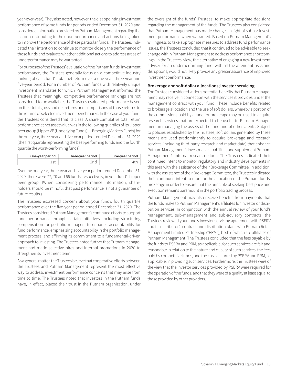year-over-year). They also noted, however, the disappointing investment performance of some funds for periods ended December 31, 2020 and considered information provided by Putnam Management regarding the factors contributing to the underperformance and actions being taken to improve the performance of these particular funds. The Trustees indicated their intention to continue to monitor closely the performance of those funds and evaluate whether additional actions to address areas of underperformance may be warranted.

For purposes of the Trustees' evaluation of the Putnam funds' investment performance, the Trustees generally focus on a competitive industry ranking of each fund's total net return over a one-year, three-year and five-year period. For a number of Putnam funds with relatively unique investment mandates for which Putnam Management informed the Trustees that meaningful competitive performance rankings are not considered to be available, the Trustees evaluated performance based on their total gross and net returns and comparisons of those returns to the returns of selected investment benchmarks. In the case of your fund, the Trustees considered that its class IA share cumulative total return performance at net asset value was in the following quartiles of its Lipper peer group (Lipper VP (Underlying Funds) — Emerging Markets Funds) for the one-year, three-year and five-year periods ended December 31, 2020 (the first quartile representing the best-performing funds and the fourth quartile the worst-performing funds):

| One-year period | Three-year period | Five-year period |
|-----------------|-------------------|------------------|
|                 |                   |                  |

Over the one-year, three-year and five-year periods ended December 31, 2020, there were 77, 70 and 66 funds, respectively, in your fund's Lipper peer group. (When considering performance information, shareholders should be mindful that past performance is not a guarantee of future results.)

The Trustees expressed concern about your fund's fourth quartile performance over the five-year period ended December 31, 2020. The Trustees considered Putnam Management's continued efforts to support fund performance through certain initiatives, including structuring compensation for portfolio managers to enhance accountability for fund performance, emphasizing accountability in the portfolio management process, and affirming its commitment to a fundamental-driven approach to investing. The Trustees noted further that Putnam Management had made selective hires and internal promotions in 2020 to strengthen its investment team.

As a general matter, the Trustees believe that cooperative efforts between the Trustees and Putnam Management represent the most effective way to address investment performance concerns that may arise from time to time. The Trustees noted that investors in the Putnam funds have, in effect, placed their trust in the Putnam organization, under the oversight of the funds' Trustees, to make appropriate decisions regarding the management of the funds. The Trustees also considered that Putnam Management has made changes in light of subpar investment performance when warranted. Based on Putnam Management's willingness to take appropriate measures to address fund performance issues, the Trustees concluded that it continued to be advisable to seek change within Putnam Management to address performance shortcomings. In the Trustees' view, the alternative of engaging a new investment adviser for an underperforming fund, with all the attendant risks and disruptions, would not likely provide any greater assurance of improved investment performance.

#### **Brokerage and soft-dollar allocations; investor servicing**

The Trustees considered various potential benefits that Putnam Management may receive in connection with the services it provides under the management contract with your fund. These include benefits related to brokerage allocation and the use of soft dollars, whereby a portion of the commissions paid by a fund for brokerage may be used to acquire research services that are expected to be useful to Putnam Management in managing the assets of the fund and of other clients. Subject to policies established by the Trustees, soft dollars generated by these means are used predominantly to acquire brokerage and research services (including third-party research and market data) that enhance Putnam Management's investment capabilities and supplement Putnam Management's internal research efforts. The Trustees indicated their continued intent to monitor regulatory and industry developments in this area with the assistance of their Brokerage Committee. In addition, with the assistance of their Brokerage Committee, the Trustees indicated their continued intent to monitor the allocation of the Putnam funds' brokerage in order to ensure that the principle of seeking best price and execution remains paramount in the portfolio trading process.

Putnam Management may also receive benefits from payments that the funds make to Putnam Management's affiliates for investor or distribution services. In conjunction with the annual review of your fund's management, sub-management and sub-advisory contracts, the Trustees reviewed your fund's investor servicing agreement with PSERV and its distributor's contract and distribution plans with Putnam Retail Management Limited Partnership ("PRM"), both of which are affiliates of Putnam Management. The Trustees concluded that the fees payable by the funds to PSERV and PRM, as applicable, for such services are fair and reasonable in relation to the nature and quality of such services, the fees paid by competitive funds, and the costs incurred by PSERV and PRM, as applicable, in providing such services. Furthermore, the Trustees were of the view that the investor services provided by PSERV were required for the operation of the funds, and that they were of a quality at least equal to those provided by other providers.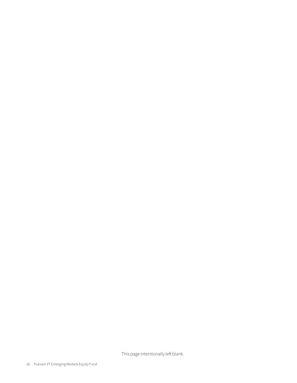This page intentionally left blank.